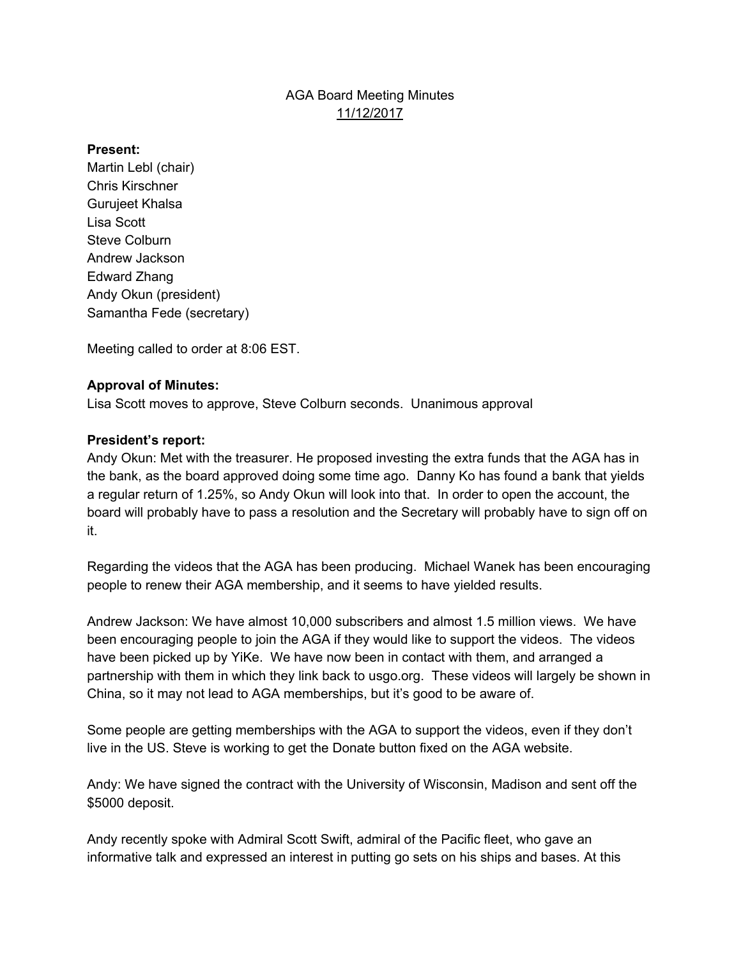## AGA Board Meeting Minutes 11/12/2017

#### **Present:**

Martin Lebl (chair) Chris Kirschner Gurujeet Khalsa Lisa Scott Steve Colburn Andrew Jackson Edward Zhang Andy Okun (president) Samantha Fede (secretary)

Meeting called to order at 8:06 EST.

### **Approval of Minutes:**

Lisa Scott moves to approve, Steve Colburn seconds. Unanimous approval

#### **President's report:**

Andy Okun: Met with the treasurer. He proposed investing the extra funds that the AGA has in the bank, as the board approved doing some time ago. Danny Ko has found a bank that yields a regular return of 1.25%, so Andy Okun will look into that. In order to open the account, the board will probably have to pass a resolution and the Secretary will probably have to sign off on it.

Regarding the videos that the AGA has been producing. Michael Wanek has been encouraging people to renew their AGA membership, and it seems to have yielded results.

Andrew Jackson: We have almost 10,000 subscribers and almost 1.5 million views. We have been encouraging people to join the AGA if they would like to support the videos. The videos have been picked up by YiKe. We have now been in contact with them, and arranged a partnership with them in which they link back to usgo.org. These videos will largely be shown in China, so it may not lead to AGA memberships, but it's good to be aware of.

Some people are getting memberships with the AGA to support the videos, even if they don't live in the US. Steve is working to get the Donate button fixed on the AGA website.

Andy: We have signed the contract with the University of Wisconsin, Madison and sent off the \$5000 deposit.

Andy recently spoke with Admiral Scott Swift, admiral of the Pacific fleet, who gave an informative talk and expressed an interest in putting go sets on his ships and bases. At this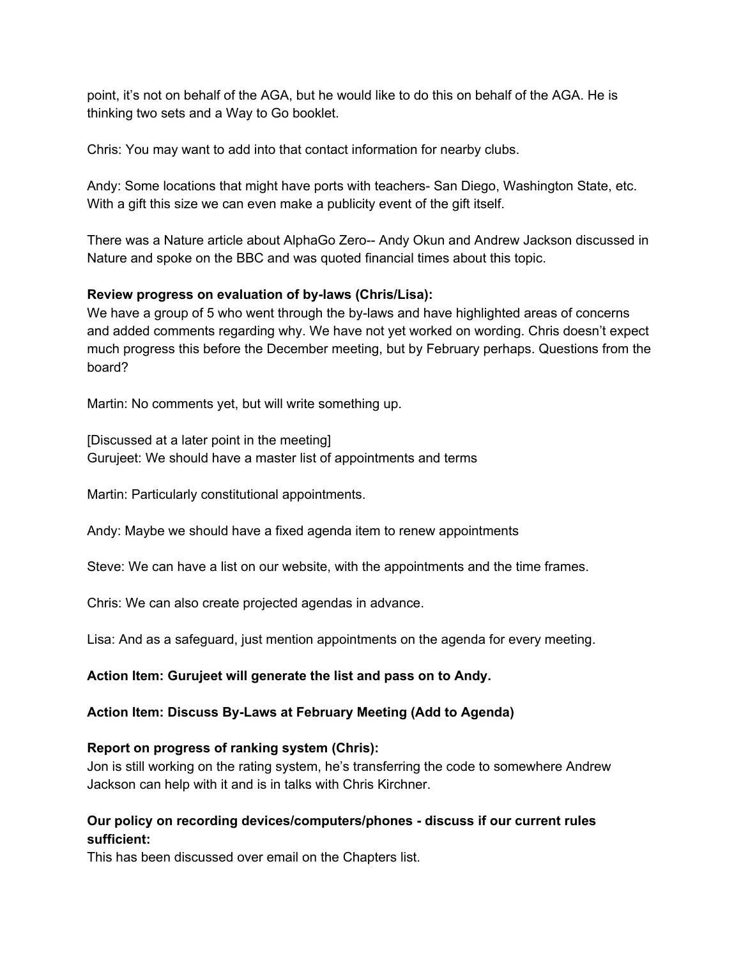point, it's not on behalf of the AGA, but he would like to do this on behalf of the AGA. He is thinking two sets and a Way to Go booklet.

Chris: You may want to add into that contact information for nearby clubs.

Andy: Some locations that might have ports with teachers- San Diego, Washington State, etc. With a gift this size we can even make a publicity event of the gift itself.

There was a Nature article about AlphaGo Zero-- Andy Okun and Andrew Jackson discussed in Nature and spoke on the BBC and was quoted financial times about this topic.

### **Review progress on evaluation of by-laws (Chris/Lisa):**

We have a group of 5 who went through the by-laws and have highlighted areas of concerns and added comments regarding why. We have not yet worked on wording. Chris doesn't expect much progress this before the December meeting, but by February perhaps. Questions from the board?

Martin: No comments yet, but will write something up.

[Discussed at a later point in the meeting] Gurujeet: We should have a master list of appointments and terms

Martin: Particularly constitutional appointments.

Andy: Maybe we should have a fixed agenda item to renew appointments

Steve: We can have a list on our website, with the appointments and the time frames.

Chris: We can also create projected agendas in advance.

Lisa: And as a safeguard, just mention appointments on the agenda for every meeting.

**Action Item: Gurujeet will generate the list and pass on to Andy.**

## **Action Item: Discuss By-Laws at February Meeting (Add to Agenda)**

## **Report on progress of ranking system (Chris):**

Jon is still working on the rating system, he's transferring the code to somewhere Andrew Jackson can help with it and is in talks with Chris Kirchner.

## **Our policy on recording devices/computers/phones - discuss if our current rules sufficient:**

This has been discussed over email on the Chapters list.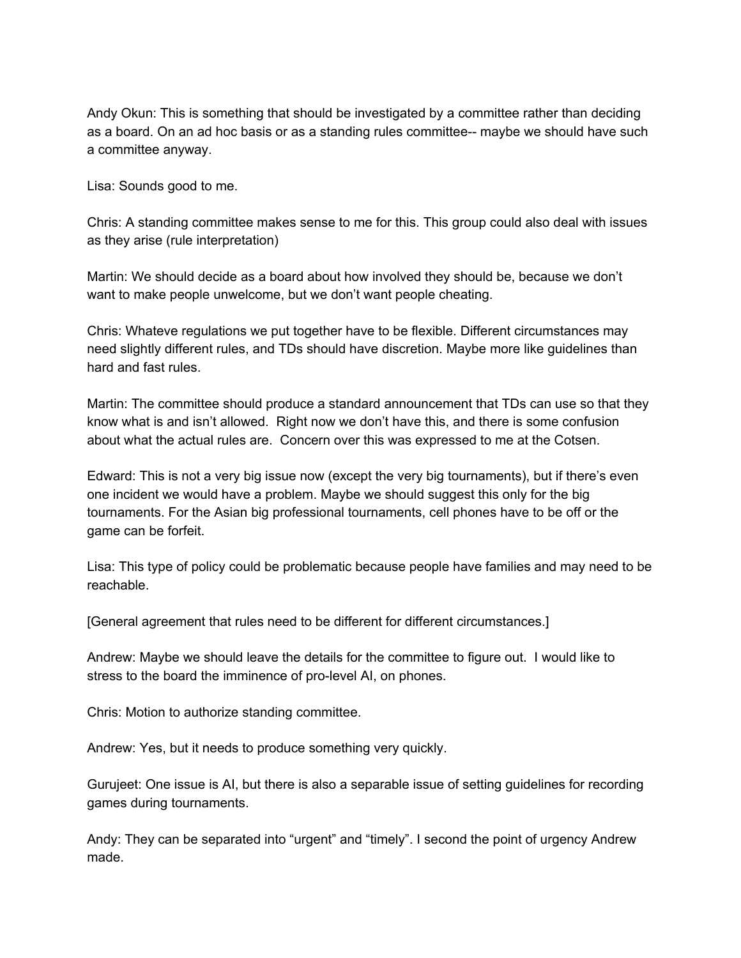Andy Okun: This is something that should be investigated by a committee rather than deciding as a board. On an ad hoc basis or as a standing rules committee-- maybe we should have such a committee anyway.

Lisa: Sounds good to me.

Chris: A standing committee makes sense to me for this. This group could also deal with issues as they arise (rule interpretation)

Martin: We should decide as a board about how involved they should be, because we don't want to make people unwelcome, but we don't want people cheating.

Chris: Whateve regulations we put together have to be flexible. Different circumstances may need slightly different rules, and TDs should have discretion. Maybe more like guidelines than hard and fast rules.

Martin: The committee should produce a standard announcement that TDs can use so that they know what is and isn't allowed. Right now we don't have this, and there is some confusion about what the actual rules are. Concern over this was expressed to me at the Cotsen.

Edward: This is not a very big issue now (except the very big tournaments), but if there's even one incident we would have a problem. Maybe we should suggest this only for the big tournaments. For the Asian big professional tournaments, cell phones have to be off or the game can be forfeit.

Lisa: This type of policy could be problematic because people have families and may need to be reachable.

[General agreement that rules need to be different for different circumstances.]

Andrew: Maybe we should leave the details for the committee to figure out. I would like to stress to the board the imminence of pro-level AI, on phones.

Chris: Motion to authorize standing committee.

Andrew: Yes, but it needs to produce something very quickly.

Gurujeet: One issue is AI, but there is also a separable issue of setting guidelines for recording games during tournaments.

Andy: They can be separated into "urgent" and "timely". I second the point of urgency Andrew made.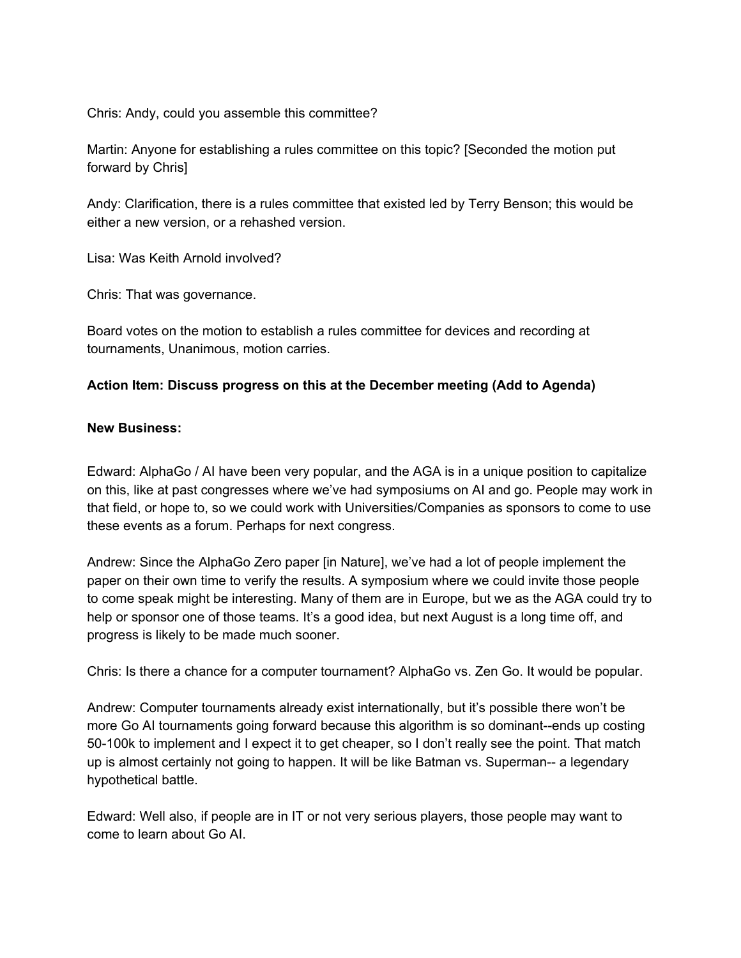Chris: Andy, could you assemble this committee?

Martin: Anyone for establishing a rules committee on this topic? [Seconded the motion put forward by Chris]

Andy: Clarification, there is a rules committee that existed led by Terry Benson; this would be either a new version, or a rehashed version.

Lisa: Was Keith Arnold involved?

Chris: That was governance.

Board votes on the motion to establish a rules committee for devices and recording at tournaments, Unanimous, motion carries.

#### **Action Item: Discuss progress on this at the December meeting (Add to Agenda)**

#### **New Business:**

Edward: AlphaGo / AI have been very popular, and the AGA is in a unique position to capitalize on this, like at past congresses where we've had symposiums on AI and go. People may work in that field, or hope to, so we could work with Universities/Companies as sponsors to come to use these events as a forum. Perhaps for next congress.

Andrew: Since the AlphaGo Zero paper [in Nature], we've had a lot of people implement the paper on their own time to verify the results. A symposium where we could invite those people to come speak might be interesting. Many of them are in Europe, but we as the AGA could try to help or sponsor one of those teams. It's a good idea, but next August is a long time off, and progress is likely to be made much sooner.

Chris: Is there a chance for a computer tournament? AlphaGo vs. Zen Go. It would be popular.

Andrew: Computer tournaments already exist internationally, but it's possible there won't be more Go AI tournaments going forward because this algorithm is so dominant--ends up costing 50-100k to implement and I expect it to get cheaper, so I don't really see the point. That match up is almost certainly not going to happen. It will be like Batman vs. Superman-- a legendary hypothetical battle.

Edward: Well also, if people are in IT or not very serious players, those people may want to come to learn about Go AI.